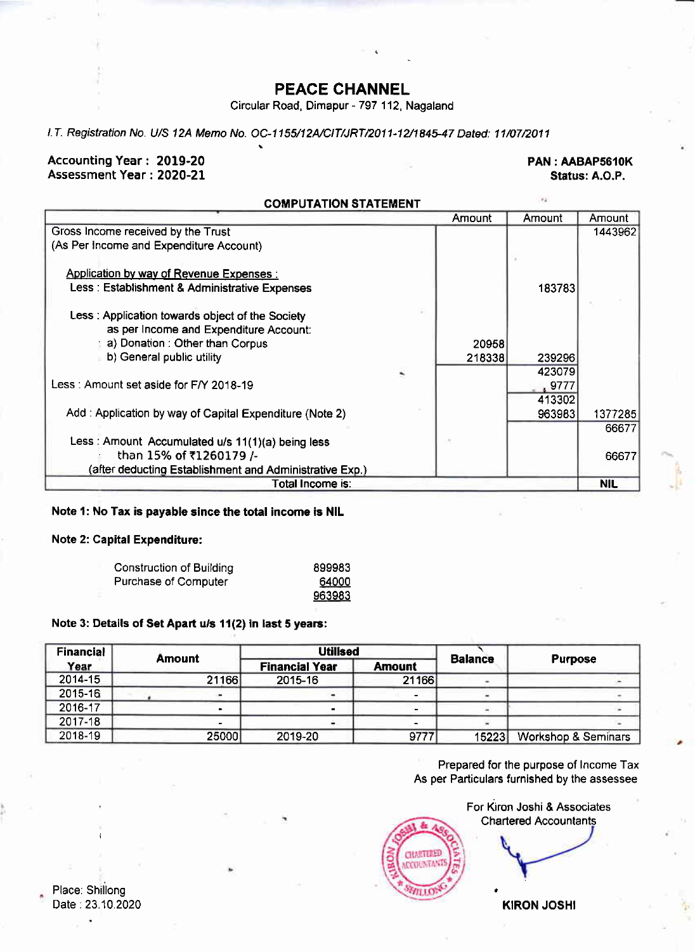### PEACE CHANNEL

Circular Road, Dimapur - 797 112, Nagaland

l.T. Registration No. U/S 12A Memo No. OC-1155/12A/CIT/JRT/2011-12/1845-47 Dated: 11/07/2011

### Accounting Year: 2019-20<br>Assessment Year: 2020-21 PAN: AABAP5610K Assessment Year: 2020-21

as.

### COMPUTATION STATEMENT

|                                                         |   | Amount | Amount      | Amount  |
|---------------------------------------------------------|---|--------|-------------|---------|
| Gross Income received by the Trust                      |   |        |             | 1443962 |
| (As Per Income and Expenditure Account)                 |   |        |             |         |
|                                                         |   |        |             |         |
| <b>Application by way of Revenue Expenses:</b>          |   |        |             |         |
| Less : Establishment & Administrative Expenses          |   |        | 183783      |         |
|                                                         |   |        |             |         |
| Less: Application towards object of the Society         |   |        |             |         |
| as per Income and Expenditure Account:                  |   |        |             |         |
| a) Donation: Other than Corpus                          |   | 20958  |             |         |
| b) General public utility                               |   | 218338 | 239296      |         |
|                                                         | š |        | 423079      |         |
| Less: Amount set aside for F/Y 2018-19                  |   |        | $_{*}$ 9777 |         |
|                                                         |   |        | 413302      |         |
| Add: Application by way of Capital Expenditure (Note 2) |   |        | 963983      | 1377285 |
|                                                         |   |        |             | 66677   |
| Less: Amount Accumulated u/s 11(1)(a) being less        |   |        |             |         |
| than 15% of ₹1260179 /-                                 |   |        |             | 66677   |
| (after deducting Establishment and Administrative Exp.) |   |        |             |         |
| Total Income is:                                        |   |        |             | NIL     |
|                                                         |   |        |             |         |

### Note 1: No Tax is payable since the total income is NIL

### Note 2: Capital Expenditure:

| <b>Construction of Building</b> | 899983 |
|---------------------------------|--------|
| Purchase of Computer            | 64000  |
|                                 | 963983 |

### Note 3: Details of Set Apart u/s 11(2) in last 5 years:

| <b>Financial</b> |               | <b>Utilised</b>       |               |                |                                |
|------------------|---------------|-----------------------|---------------|----------------|--------------------------------|
| Year             | <b>Amount</b> | <b>Financial Year</b> | <b>Amount</b> | <b>Balance</b> | <b>Purpose</b>                 |
| 2014-15          | 21166         | 2015-16               | 21166         |                |                                |
| 2015-16          |               | ٠                     |               |                |                                |
| 2016-17          |               |                       |               |                |                                |
| $2017 - 18$      |               |                       |               |                |                                |
| 2018-19          | 25000         | 2019-20               | 9777          | 15223          | <b>Workshop &amp; Seminars</b> |

Prepared for the purpose of lncome Tax As per Particulars furnished by the assessee



KIRON JOSHI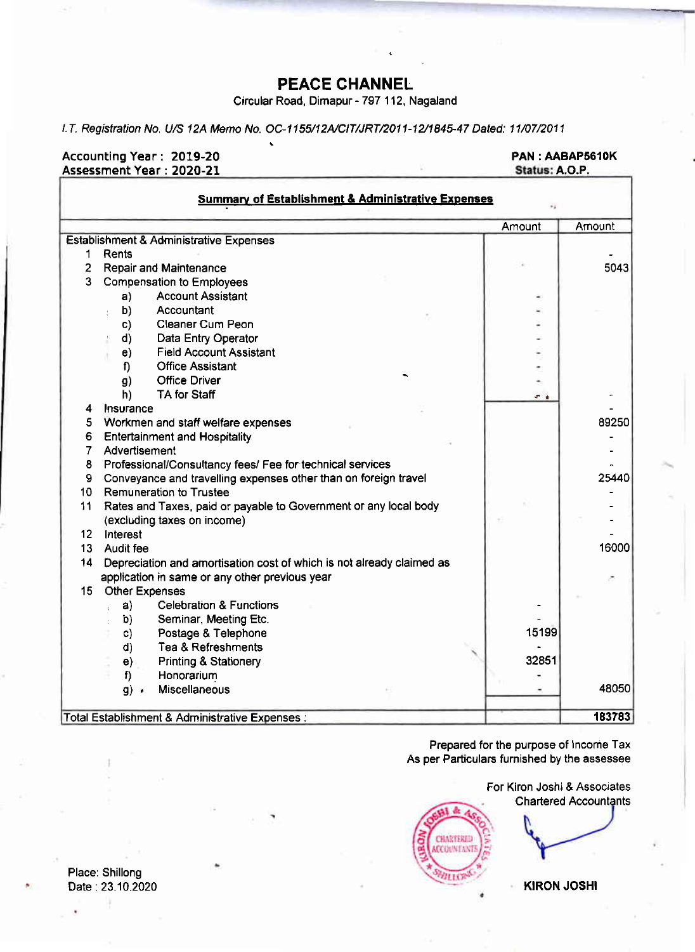### PEACE CHANNEL

Circular Road, Dimapur - 797 1 12, Nagaland

l.T. Registration No. U/S 12A Memo No. OC-1155/12A/CIT/JRT/2011-12/1845-47 Dated: 11/07/2011

### Accounting Year : 2019-20

### PAN : AABAP5610K<br>Status: A.O.P.

|                | Assessment Year : 2020-21                                             | Status: A.O.P. |        |
|----------------|-----------------------------------------------------------------------|----------------|--------|
|                | <b>Summary of Establishment &amp; Administrative Expenses</b>         |                |        |
|                |                                                                       | Amount         | Amount |
|                | Establishment & Administrative Expenses                               |                |        |
| 1              | Rents                                                                 |                |        |
| $\overline{2}$ | <b>Repair and Maintenance</b>                                         |                | 5043   |
| 3              | <b>Compensation to Employees</b>                                      |                |        |
|                | <b>Account Assistant</b><br>a)                                        |                |        |
|                | b)<br>Accountant                                                      |                |        |
|                | Cleaner Cum Peon<br>C)                                                |                |        |
|                | Data Entry Operator<br>d)                                             |                |        |
|                | <b>Field Account Assistant</b><br>e)                                  |                |        |
|                | f<br><b>Office Assistant</b>                                          |                |        |
|                | <b>Office Driver</b><br>g)                                            |                |        |
|                | TA for Staff<br>h)                                                    | e a            |        |
| 4              | Insurance                                                             |                |        |
| 5              | Workmen and staff welfare expenses                                    |                | 89250  |
| 6              | <b>Entertainment and Hospitality</b>                                  |                |        |
| $\overline{7}$ | Advertisement                                                         |                |        |
| 8              | Professional/Consultancy fees/ Fee for technical services             |                |        |
| 9              | Conveyance and travelling expenses other than on foreign travel       |                | 25440  |
| 10             | Remuneration to Trustee                                               |                |        |
| 11             | Rates and Taxes, paid or payable to Government or any local body      |                |        |
|                | (excluding taxes on income)                                           |                |        |
| 12             | Interest                                                              |                |        |
| 13             | Audit fee                                                             |                | 16000  |
| 14             | Depreciation and amortisation cost of which is not already claimed as |                |        |
|                | application in same or any other previous year                        |                |        |
| 15             | <b>Other Expenses</b>                                                 |                |        |
|                | <b>Celebration &amp; Functions</b><br>a)                              |                |        |
|                | Seminar, Meeting Etc.<br>b)                                           |                |        |
|                | Postage & Telephone<br>c)                                             | 15199          |        |
|                | Tea & Refreshments<br>d)                                              |                |        |
|                | <b>Printing &amp; Stationery</b><br>e)                                | 32851          |        |
|                | Honorarium<br>f                                                       |                |        |
|                | Miscellaneous<br>$g)$ .                                               |                | 48050  |
|                | Total Establishment & Administrative Expenses :                       |                | 183783 |

Prepared for the purpose of lncome Tax As per Particulars furnished by the assessee



Chartered Accountants

Place: Shillong Date: 23.10.2020 KIRON JOSHI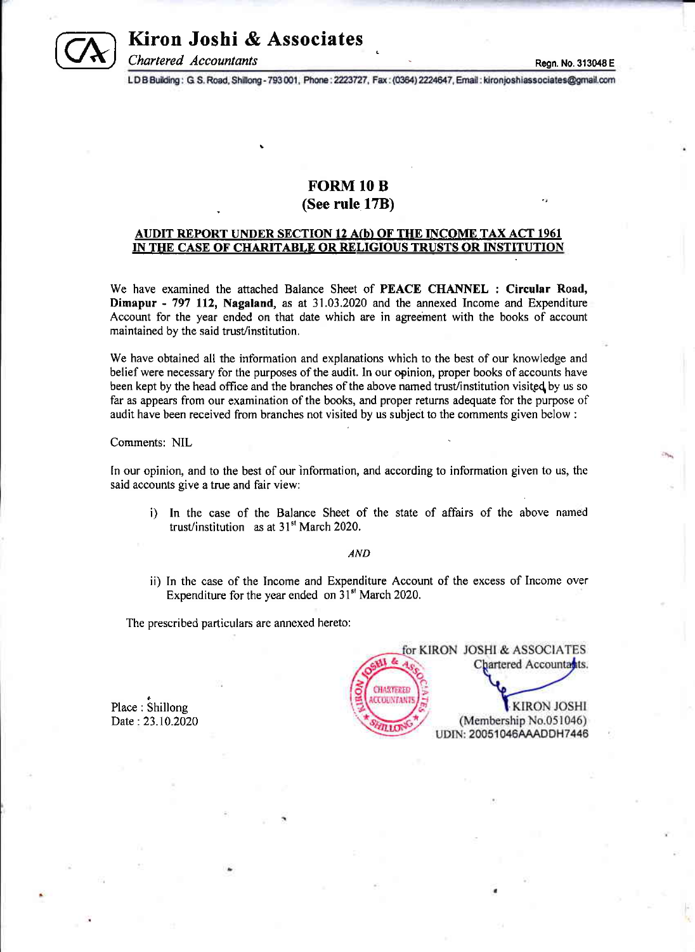

### Kiron Joshi & Associates

Thartered Accountants<br>LDB Building: G.S. Road, Shillong - 793 001, Phone: 2223727, Fax: (0364) 2224647, Email: kironjoshiassociates@gmail.com

### FORM 10 B (See rule 17B)

### AUDIT REPORT UNDER SECTION 12 A(b) OF THE INCOME TAX ACT 1961 IN THE CASE OF CHARITABLE OR RELIGIOUS TRUSTS OR INSTITUTION

We have examined the attached Balance Sheet of PEACE CHANNEL : Circular Road, Dimapur - 797 ll2, Nagaland, as at 31.03.2020 and the annexed Income and Expenditure Account for the year ended on that date which are in agreement with the books of account maintained by the said trust/institution.

We have obtained all the information and explanations which to the best of our knowledge and belief were necessary for the purposes of the audit. In our opinion, proper books of accounts have been kept by the head office and the branches of the above named trust/institution visited by us so far as appears from our examination of the books, and proper returns adequate for the purpose of audit have been received from branches not visited by us subject to the comments given below :

Comments: NIL

In our opinion, and to the best of our information, and according to information given to us, the said accounts give a true and fair view:

i) In the case of the Balance Sheet of the state of affairs of the above named trust/institution as at  $31<sup>st</sup>$  March 2020.

### AND

ii) In the case of the Income and Expenditure Account of the excess of Income over Expenditure for the year ended on 31<sup>st</sup> March 2020.

The prescribed particulars are annexed hereto:

Place : Shillong Date : 23 .10 .2020

|                   | for KIRON JOSHI & ASSOCIATES |
|-------------------|------------------------------|
|                   | Chartered Accountants.       |
| CHARTERED         |                              |
| <b>CCOUNTANTS</b> | <b>KIRON JOSHI</b>           |
|                   | (Membership No.051046)       |
|                   | UDIN: 20051046AAADDH7446     |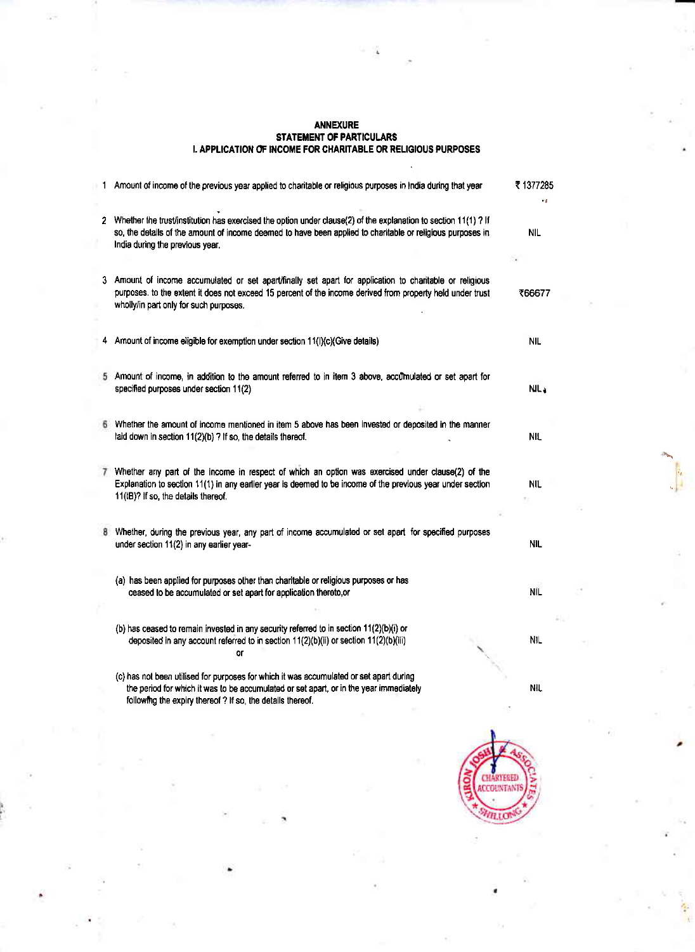## ANNEXURE<br>STATEMENT OF PARTICULARS<br>I. APPLICATION OF INCOME FOR CHARITABLE OR RELIGIOUS PURPOSES

| 1 Amount of income of the previous year applied to charitable or religious purposes in India during that year                                                                                                                                                      | ₹ 1377285  |
|--------------------------------------------------------------------------------------------------------------------------------------------------------------------------------------------------------------------------------------------------------------------|------------|
| 2 Whether the trust/institution has exercised the option under clause(2) of the explanation to section 11(1) ? If<br>so, the details of the amount of income deemed to have been applied to charitable or religious purposes in<br>India during the previous year. | <b>NIL</b> |
| 3 Amount of income accumulated or set apart/finally set apart for application to charitable or religious<br>purposes, to the extent it does not exceed 15 percent of the income derived from property held under trust<br>wholly/in part only for such purposes.   | ₹66677     |
| 4 Amount of income eligible for exemption under section 11(I)(c)(Give details)                                                                                                                                                                                     | <b>NIL</b> |
| 5 Amount of income, in addition to the amount referred to in item 3 above, accumulated or set apart for<br>specified purposes under section 11(2)                                                                                                                  | NIL 1      |
| Whether the amount of income mentioned in item 5 above has been invested or deposited in the manner<br>laid down in section 11(2)(b) ? If so, the details thereof.                                                                                                 | NIL        |
| 7 Whether any part of the income in respect of which an option was exercised under clause(2) of the<br>Explanation to section 11(1) in any earlier year is deemed to be income of the previous year under section<br>11(IB)? If so, the details thereof.           | nil        |
| Whether, during the previous year, any part of income accumulated or set apart for specified purposes<br>under section 11(2) in any earlier year-                                                                                                                  | <b>NIL</b> |
| (a) has been applied for purposes other than charitable or religious purposes or has<br>ceased to be accumulated or set apart for application thereto,or                                                                                                           | ΝĹ         |
| (b) has ceased to remain invested in any security referred to in section 11(2)(b)(i) or<br>deposited in any account referred to in section 11(2)(b)(ii) or section 11(2)(b)(iii)<br>or                                                                             | <b>NIL</b> |
| (c) has not been utilised for purposes for which it was accumulated or set apart during<br>the period for which it was to be accumulated or set apart, or in the year immediately<br>following the expiry thereof ? If so, the details thereof.                    | NIL.       |
|                                                                                                                                                                                                                                                                    |            |

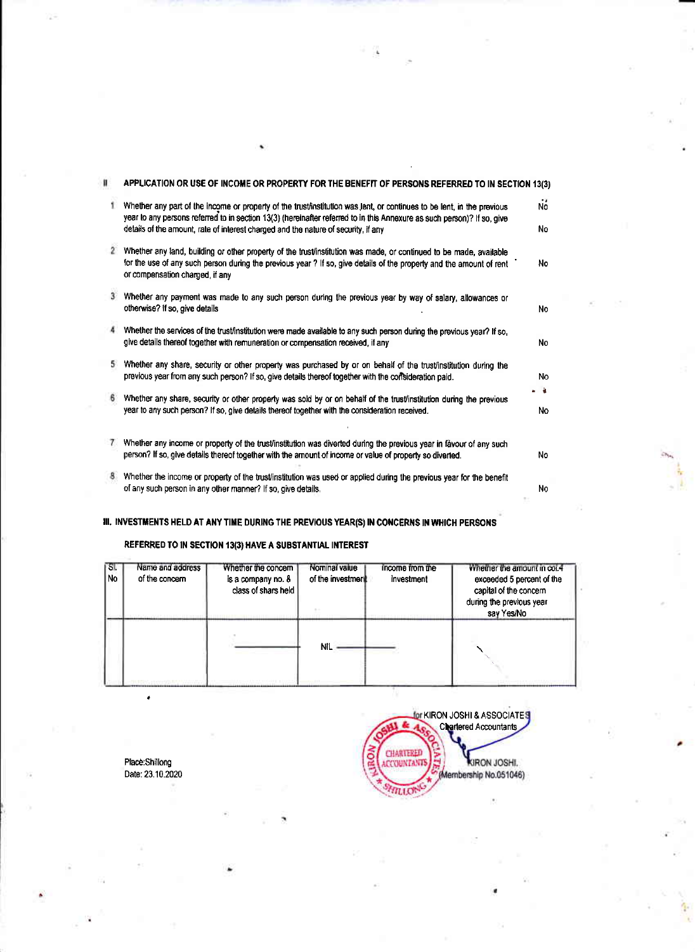| Ħ  | APPLICATION OR USE OF INCOME OR PROPERTY FOR THE BENEFIT OF PERSONS REFERRED TO IN SECTION 13(3)                                                                                                                                                                                                                                        |            |
|----|-----------------------------------------------------------------------------------------------------------------------------------------------------------------------------------------------------------------------------------------------------------------------------------------------------------------------------------------|------------|
|    | Whether any part of the income or property of the trust/institution was lent, or continues to be lent, in the previous<br>year to any persons referred to in section 13(3) (hereinafter referred to in this Annexure as such person)? If so, give<br>details of the amount, rate of interest charged and the nature of security, if any | No.<br>No. |
|    | Whether any land, building or other property of the trust/institution was made, or continued to be made, available<br>for the use of any such person during the previous year? If so, give details of the property and the amount of rent<br>or compensation charged, if any                                                            | No.        |
|    | Whether any payment was made to any such person during the previous year by way of salary, allowances or<br>otherwise? If so, give details                                                                                                                                                                                              | No         |
|    | Whether the services of the trust/institution were made available to any such person during the previous year? If so,<br>give details thereof together with remuneration or compensation received, if any                                                                                                                               | No         |
| 5. | Whether any share, security or other property was purchased by or on behalf of the trust/institution during the<br>previous year from any such person? If so, give details thereof together with the consideration paid.                                                                                                                | No.        |
|    | Whether any share, security or other property was sold by or on behalf of the trust/institution during the previous<br>year to any such person? If so, give details thereof together with the consideration received.                                                                                                                   | a<br>No    |
|    | Whether any income or property of the trust/institution was diverted during the previous year in favour of any such<br>person? If so, give details thereof together with the amount of income or value of property so diverted.                                                                                                         | No.        |
| 8. | Whether the income or property of the trust/institution was used or applied during the previous year for the benefit<br>of any such person in any other manner? If so, give details,                                                                                                                                                    | N٥         |

### III. INVESTMENTS HELD AT ANY TIME DURING THE PREVIOUS YEAR(S) IN CONCERNS IN WHICH PERSONS

### REFERRED TO IN SECTION 13(3) HAVE A SUBSTANTIAL INTEREST

| ৬.<br>No. | Name and address<br>of the concern | Whether the concern<br>is a company no. &<br>class of shars held | Nominal value<br>of the investment | income from the<br>investment | whether the amount in coi.4<br>exceeded 5 percent of the<br>capital of the concern<br>during the previous year<br>say Yes/No |
|-----------|------------------------------------|------------------------------------------------------------------|------------------------------------|-------------------------------|------------------------------------------------------------------------------------------------------------------------------|
|           |                                    |                                                                  | Νľ                                 |                               |                                                                                                                              |

Place:Shillong<br>Date: 23.10.2020

 $\epsilon$ 

**Jor KIRON JOSHI & ASSOCIATES** Ŀ **CHARTERED**<br>ACCOUNTANTS KIRON JOSHI.<br>Membership No.051046) **ITILLON**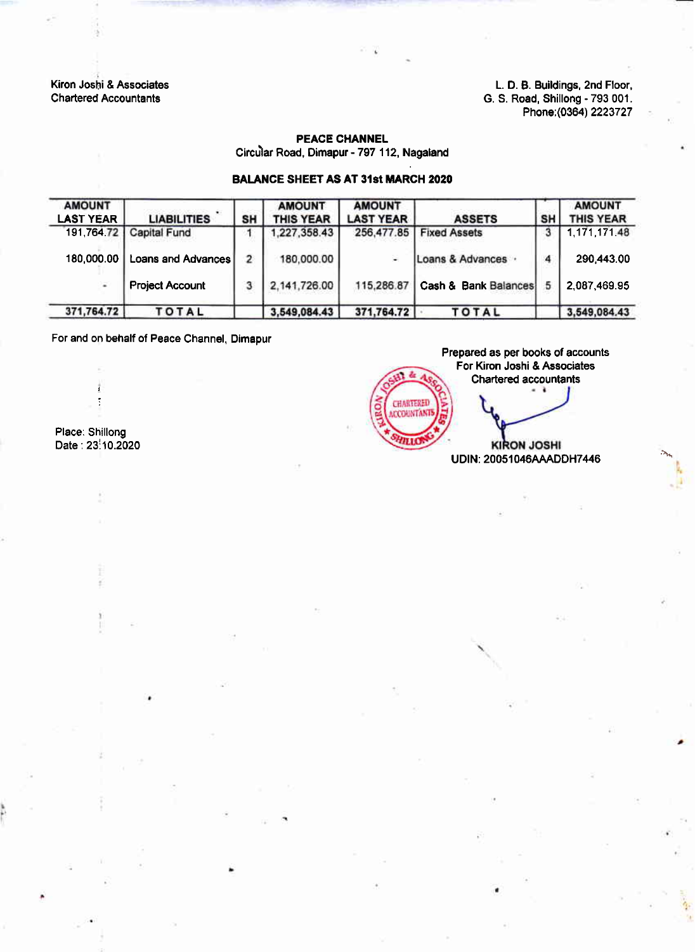Kiron Joshi & Associates Chartered Accountants

L. D. B. Buildings, 2nd Floor, G. S. Road, Shillong - 793 001. Phone:(0364) 2223727

### PEACE CHANNEL

Circu'lar Road, Dimapur - 797 112, Nagaland

### BALANCE SHEET AS AT 31st MARCH 2020

| <b>AMOUNT</b><br><b>LAST YEAR</b> | <b>LIABILITIES</b>     | SH             | <b>AMOUNT</b><br><b>THIS YEAR</b> | <b>AMOUNT</b><br><b>LAST YEAR</b> | <b>ASSETS</b>                   | SΗ | <b>AMOUNT</b><br><b>THIS YEAR</b> |
|-----------------------------------|------------------------|----------------|-----------------------------------|-----------------------------------|---------------------------------|----|-----------------------------------|
| 191,764.72                        | <b>Capital Fund</b>    |                | 1,227,358.43                      | 256,477.85                        | <b>Fixed Assets</b>             |    | 1 171 171 48                      |
| 180.000.00                        | Loans and Advances     | $\overline{2}$ | 180,000.00                        | ੂ                                 | Loans & Advances .              | 4  | 290,443.00                        |
| Ξ                                 | <b>Project Account</b> |                | 2,141,726.00                      | 115,286.87                        | <b>Cash &amp; Bank Balances</b> | 5  | 2.087.469.95                      |
| 371,764.72                        | <b>TOTAL</b>           |                | 3,549,084.43                      | 371,764.72                        | TOTAL                           |    | 3,549,084.43                      |

For and on behalf of Peace Channel, Dimapur

Place: Shillong Date:23i10.2020

i

Prepared as per books of accounts For Kiron Joshi & Associates z, Chartered accountants CHARTERED **ACCOUNTANT** mic **KIRON JOSHI** UDIN: 20051046AAADDH7446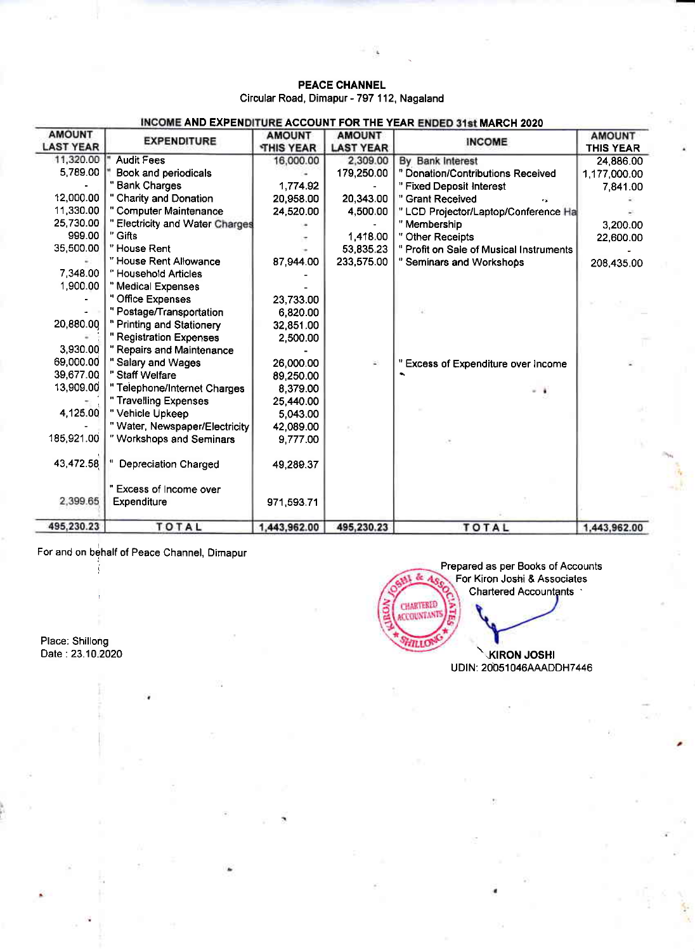### PEACE CHANNEL Circular Road, Dimapur - 797 112, Nagaland

| <b>AMOUNT</b><br><b>LAST YEAR</b> | INCOME AND EXPENDITURE ACCOUNT FOR THE YEAR ENDED 31st MARCH 2020<br><b>EXPENDITURE</b> | <b>AMOUNT</b><br><b>THIS YEAR</b> | <b>AMOUNT</b><br><b>LAST YEAR</b> | <b>INCOME</b>                            | <b>AMOUNT</b><br><b>THIS YEAR</b> |
|-----------------------------------|-----------------------------------------------------------------------------------------|-----------------------------------|-----------------------------------|------------------------------------------|-----------------------------------|
| 11 320 00                         | <b>Audit Fees</b>                                                                       | 16,000.00                         | 2,309.00                          | By Bank Interest                         | 24,886.00                         |
| 5,789.00                          | Book and periodicals                                                                    |                                   | 179,250.00                        | " Donation/Contributions Received        | 1,177,000.00                      |
|                                   | " Bank Charges                                                                          | 1,774.92                          |                                   | " Fixed Deposit Interest                 | 7,841.00                          |
| 12,000.00                         | " Charity and Donation                                                                  | 20,958.00                         | 20,343.00                         | " Grant Received                         |                                   |
| 11,330.00                         | " Computer Maintenance                                                                  | 24,520.00                         | 4,500.00                          | " LCD Projector/Laptop/Conference Ha     |                                   |
| 25,730.00                         | " Electricity and Water Charges                                                         |                                   |                                   | " Membership                             | 3,200.00                          |
| 999.00                            | " Gifts                                                                                 |                                   | 1,418.00                          | " Other Receipts                         | 22,600.00                         |
| 35,500.00                         | "House Rent                                                                             |                                   | 53,835.23                         | " Profit on Sale of Musical Instruments  |                                   |
|                                   | "House Rent Allowance                                                                   | 87 944 00                         | 233,575.00                        | " Seminars and Workshops                 | 208,435.00                        |
| 7 348 00                          | "Household Articles                                                                     |                                   |                                   |                                          |                                   |
| 1,900.00                          | " Medical Expenses                                                                      |                                   |                                   |                                          |                                   |
|                                   | " Office Expenses                                                                       | 23,733.00                         |                                   |                                          |                                   |
|                                   | " Postage/Transportation                                                                | 6.820.00                          |                                   |                                          |                                   |
| 20,880.00                         | " Printing and Stationery                                                               | 32,851.00                         |                                   |                                          |                                   |
|                                   | " Registration Expenses                                                                 | 2,500.00                          |                                   |                                          |                                   |
| 3,930.00                          | " Repairs and Maintenance                                                               |                                   |                                   |                                          |                                   |
| 69,000.00                         | " Salary and Wages                                                                      | 26,000.00                         | £.                                | <b>Excess of Expenditure over Income</b> |                                   |
| 39,677.00                         | " Staff Welfare                                                                         | 89 250 00                         |                                   |                                          |                                   |
| 13,909.00                         | " Telephone/Internet Charges                                                            | 8 379 00                          |                                   | - 1                                      |                                   |
|                                   | " Travelling Expenses                                                                   | 25,440.00                         |                                   |                                          |                                   |
| 4,125.00                          | " Vehicle Upkeep                                                                        | 5.043.00                          |                                   |                                          |                                   |
|                                   | " Water, Newspaper/Electricity                                                          | 42,089.00                         |                                   |                                          |                                   |
| 185 921 00                        | " Workshops and Seminars                                                                | 9 777 00                          |                                   |                                          |                                   |
| 43,472.58                         | <b>Depreciation Charged</b>                                                             | 49,289.37                         |                                   |                                          |                                   |
|                                   | " Excess of Income over                                                                 |                                   |                                   |                                          |                                   |
| 2,399.65                          | Expenditure                                                                             | 971 593 71                        |                                   |                                          |                                   |
| 495,230.23                        | <b>TOTAL</b>                                                                            | 1,443,962.00                      | 495,230.23                        | <b>TOTAL</b>                             | 1,443,962.00                      |

For and on behalf of Peace Channel, Dimapur :

Place: Shillong Oate :23.1O.2O2O

i

Prepared as per Books of Accounts  $\delta\epsilon$ For Kiron Joshi & Associates Chartered Accountants CHARTERED HTLLO

UDIN: 20051046AAADDH7446 **KIRON JOSHI**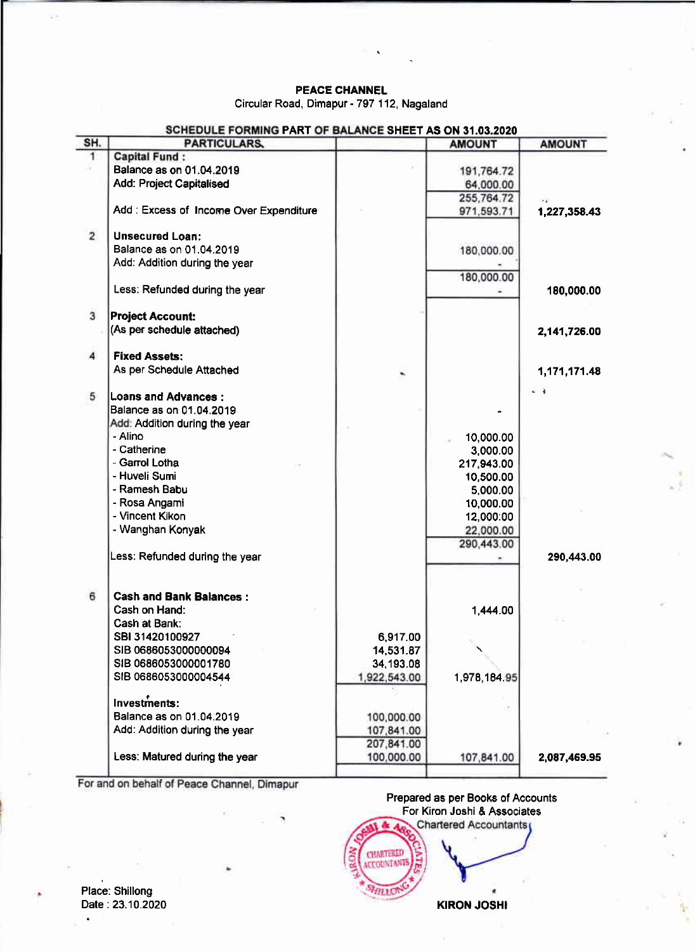### PEACE CHANNEL

Circular Road, Dimapur - 797 112, Nagaland

| <b>AMOUNT</b><br>191,764.72<br>64,000.00<br>255,764.72<br>1,227,358.43<br>971,593.71<br>180,000.00 |
|----------------------------------------------------------------------------------------------------|
|                                                                                                    |
|                                                                                                    |
|                                                                                                    |
|                                                                                                    |
|                                                                                                    |
|                                                                                                    |
|                                                                                                    |
|                                                                                                    |
|                                                                                                    |
| 180,000.00                                                                                         |
| 180,000.00                                                                                         |
|                                                                                                    |
| 2,141,726.00                                                                                       |
|                                                                                                    |
| 1,171,171.48                                                                                       |
|                                                                                                    |
|                                                                                                    |
|                                                                                                    |
|                                                                                                    |
| 10,000.00                                                                                          |
| 3,000.00                                                                                           |
| 217,943.00                                                                                         |
| 10,500.00                                                                                          |
| 5,000.00                                                                                           |
| 10,000.00                                                                                          |
| 12,000:00                                                                                          |
|                                                                                                    |
| 22,000.00<br>290,443.00                                                                            |
| 290,443.00                                                                                         |
|                                                                                                    |
|                                                                                                    |
| 1.444.00                                                                                           |
|                                                                                                    |
|                                                                                                    |
|                                                                                                    |
|                                                                                                    |
| 1,978,184.95                                                                                       |
|                                                                                                    |
|                                                                                                    |
|                                                                                                    |
|                                                                                                    |
|                                                                                                    |
| 107,841.00<br>2,087,469.95                                                                         |
|                                                                                                    |

For and on behalf of Peace Channel, Dimapur

Prepared as per Books of Accounts For Kiron Joshi & Associates CHARTERED SHILLON

Place: Shillong Date:23.10.2020

KIRON JOSHI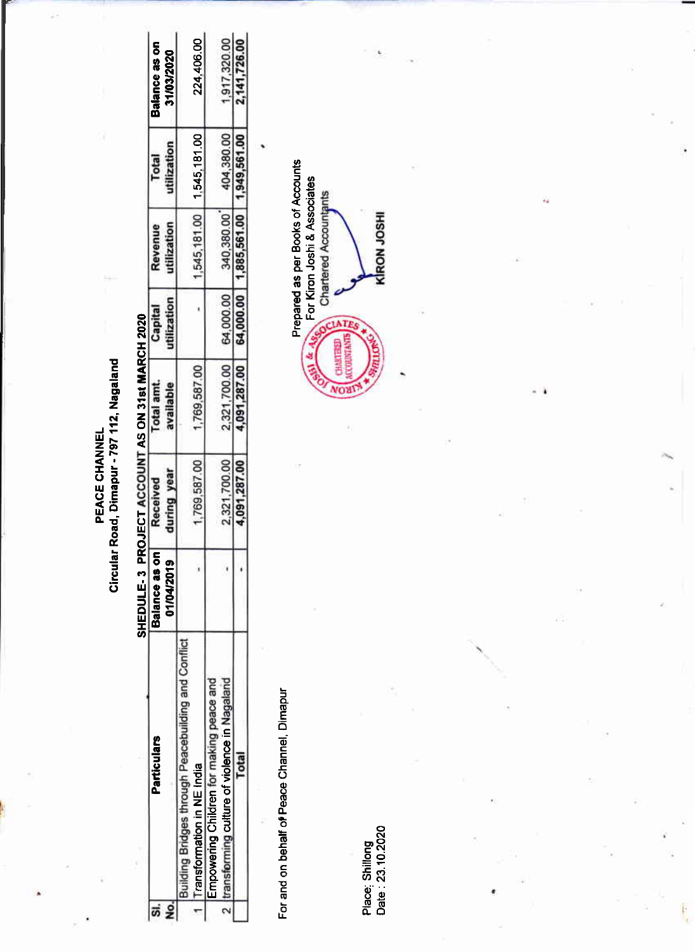PEACE CHANNEL<br>Circular Road, Dimapur - 797 112, Nagaland

# SHEDULE-3 PROJECT ACCOUNT AS ON 31st MARCH 2020

| No.<br>si. | <b>Particulars</b>                                                                     | Balance as on<br>01/04/2019 | uring year<br>Received | <b>Total amt</b><br>wallable | Capital    | dization<br>Revenue         | lization<br>Total | Balance as on<br>31/03/2020 |
|------------|----------------------------------------------------------------------------------------|-----------------------------|------------------------|------------------------------|------------|-----------------------------|-------------------|-----------------------------|
|            | Bridges through Peacebuilding and Conflict<br>Transformation in NE India               |                             | 769.587.00             | 1,769,587.00                 |            | 1,545,181.00   1,545,181.00 |                   | 224,406.00                  |
|            | Empowering Children for making peace and<br>ansforming culture of violence in Nagaland |                             | 2.321.700.00           | 2321700.00                   | 64,000.00  | 340.380.00                  | 104.380.00        | 1,917,320.00                |
|            |                                                                                        |                             | 091,287.0              | 0.091.287.0                  | \$4,000.00 | 1.885.561.00                | 49.561.0          | 2.141.726.00                |
|            |                                                                                        |                             |                        |                              |            |                             |                   |                             |

For and on behalf of Peace Channel, Dimapur

Place: Shillong<br>Date: 23.10.2020

ŧ,

Prepared as per Books of Accounts For Kiron Joshi & Associates KRON JOSHI CIATI 61 & Asc CHAKTERED **SETNING** NOW